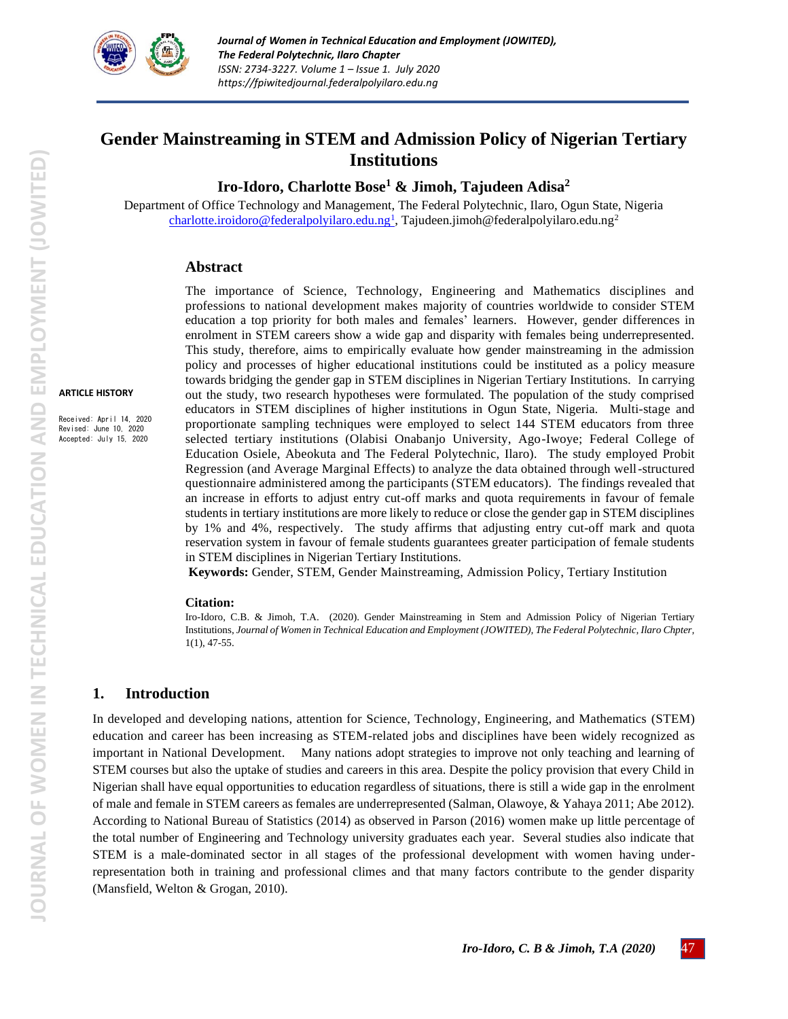

# **Gender Mainstreaming in STEM and Admission Policy of Nigerian Tertiary Institutions**

**Iro-Idoro, Charlotte Bose<sup>1</sup> & Jimoh, Tajudeen Adisa<sup>2</sup>**

Department of Office Technology and Management, The Federal Polytechnic, Ilaro, Ogun State, Nigeria [charlotte.iroidoro@federalpolyilaro.edu.ng](mailto:charlotte.iroidoro@federalpolyilaro.edu.ng1)<sup>1</sup>, Tajudeen.jimoh@federalpolyilaro.edu.ng<sup>2</sup>

#### **Abstract**

**ARTICLE HISTORY**

Received: April 14, 2020 Revised: June 10, 2020 Accepted: July 15, 2020

The importance of Science, Technology, Engineering and Mathematics disciplines and professions to national development makes majority of countries worldwide to consider STEM education a top priority for both males and females' learners. However, gender differences in enrolment in STEM careers show a wide gap and disparity with females being underrepresented. This study, therefore, aims to empirically evaluate how gender mainstreaming in the admission policy and processes of higher educational institutions could be instituted as a policy measure towards bridging the gender gap in STEM disciplines in Nigerian Tertiary Institutions. In carrying out the study, two research hypotheses were formulated. The population of the study comprised educators in STEM disciplines of higher institutions in Ogun State, Nigeria. Multi-stage and proportionate sampling techniques were employed to select 144 STEM educators from three selected tertiary institutions (Olabisi Onabanjo University, Ago-Iwoye; Federal College of Education Osiele, Abeokuta and The Federal Polytechnic, Ilaro). The study employed Probit Regression (and Average Marginal Effects) to analyze the data obtained through well-structured questionnaire administered among the participants (STEM educators). The findings revealed that an increase in efforts to adjust entry cut-off marks and quota requirements in favour of female students in tertiary institutions are more likely to reduce or close the gender gap in STEM disciplines by 1% and 4%, respectively. The study affirms that adjusting entry cut-off mark and quota reservation system in favour of female students guarantees greater participation of female students in STEM disciplines in Nigerian Tertiary Institutions.

**Keywords:** Gender, STEM, Gender Mainstreaming, Admission Policy, Tertiary Institution

#### **Citation:**

Iro-Idoro, C.B. & Jimoh, T.A. (2020). Gender Mainstreaming in Stem and Admission Policy of Nigerian Tertiary Institutions, *Journal of Women in Technical Education and Employment (JOWITED), The Federal Polytechnic, Ilaro Chpter,*  1(1), 47-55.

### **1. Introduction**

In developed and developing nations, attention for Science, Technology, Engineering, and Mathematics (STEM) education and career has been increasing as STEM-related jobs and disciplines have been widely recognized as important in National Development. Many nations adopt strategies to improve not only teaching and learning of STEM courses but also the uptake of studies and careers in this area. Despite the policy provision that every Child in Nigerian shall have equal opportunities to education regardless of situations, there is still a wide gap in the enrolment of male and female in STEM careers as females are underrepresented (Salman, Olawoye, & Yahaya 2011; Abe 2012). According to National Bureau of Statistics (2014) as observed in Parson (2016) women make up little percentage of the total number of Engineering and Technology university graduates each year. Several studies also indicate that STEM is a male-dominated sector in all stages of the professional development with women having underrepresentation both in training and professional climes and that many factors contribute to the gender disparity (Mansfield, Welton & Grogan, 2010).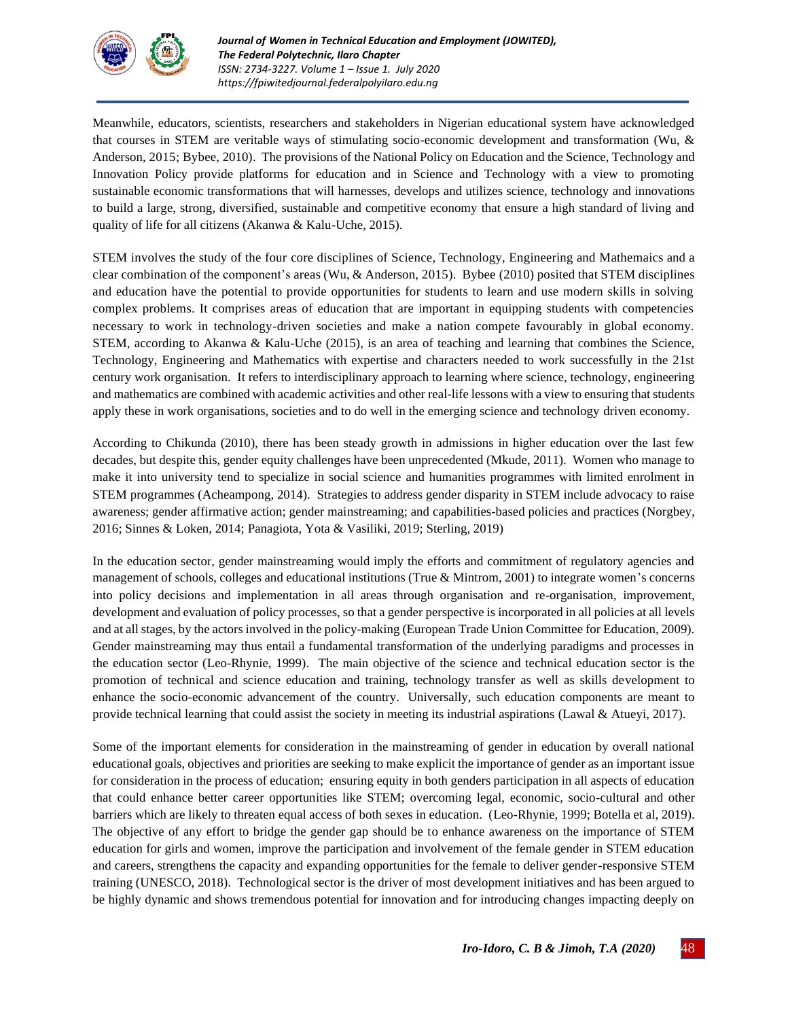

Meanwhile, educators, scientists, researchers and stakeholders in Nigerian educational system have acknowledged that courses in STEM are veritable ways of stimulating socio-economic development and transformation (Wu, & Anderson, 2015; Bybee, [2010\)](https://link.springer.com/article/10.1007/s40692-015-0041-2#CR2). The provisions of the National Policy on Education and the Science, Technology and Innovation Policy provide platforms for education and in Science and Technology with a view to promoting sustainable economic transformations that will harnesses, develops and utilizes science, technology and innovations to build a large, strong, diversified, sustainable and competitive economy that ensure a high standard of living and quality of life for all citizens (Akanwa & Kalu-Uche, 2015).

STEM involves the study of the four core disciplines of Science, Technology, Engineering and Mathemaics and a clear combination of the component's areas (Wu, & Anderson, 2015). Bybee [\(2010\)](https://link.springer.com/article/10.1007/s40692-015-0041-2#CR2) posited that STEM disciplines and education have the potential to provide opportunities for students to learn and use modern skills in solving complex problems. It comprises areas of education that are important in equipping students with competencies necessary to work in technology-driven societies and make a nation compete favourably in global economy. STEM, according to Akanwa & Kalu-Uche (2015), is an area of teaching and learning that combines the Science, Technology, Engineering and Mathematics with expertise and characters needed to work successfully in the 21st century work organisation. It refers to interdisciplinary approach to learning where science, technology, engineering and mathematics are combined with academic activities and other real-life lessons with a view to ensuring that students apply these in work organisations, societies and to do well in the emerging science and technology driven economy.

According to Chikunda (2010), there has been steady growth in admissions in higher education over the last few decades, but despite this, gender equity challenges have been unprecedented (Mkude, 2011). Women who manage to make it into university tend to specialize in social science and humanities programmes with limited enrolment in STEM programmes (Acheampong, 2014). Strategies to address gender disparity in STEM include advocacy to raise awareness; gender affirmative action; gender mainstreaming; and capabilities-based policies and practices (Norgbey, 2016; Sinnes & Loken, 2014; Panagiota, Yota & Vasiliki, 2019; Sterling, 2019)

In the education sector, gender mainstreaming would imply the efforts and commitment of regulatory agencies and management of schools, colleges and educational institutions (True & Mintrom, 2001) to integrate women's concerns into policy decisions and implementation in all areas through organisation and re-organisation, improvement, development and evaluation of policy processes, so that a gender perspective is incorporated in all policies at all levels and at all stages, by the actors involved in the policy-making (European Trade Union Committee for Education, 2009). Gender mainstreaming may thus entail a fundamental transformation of the underlying paradigms and processes in the education sector (Leo-Rhynie, 1999). The main objective of the science and technical education sector is the promotion of technical and science education and training, technology transfer as well as skills development to enhance the socio-economic advancement of the country. Universally, such education components are meant to provide technical learning that could assist the society in meeting its industrial aspirations (Lawal & Atueyi, 2017).

Some of the important elements for consideration in the mainstreaming of gender in education by overall national educational goals, objectives and priorities are seeking to make explicit the importance of gender as an important issue for consideration in the process of education; ensuring equity in both genders participation in all aspects of education that could enhance better career opportunities like STEM; overcoming legal, economic, socio-cultural and other barriers which are likely to threaten equal access of both sexes in education. (Leo-Rhynie, 1999; Botella et al, 2019). The objective of any effort to bridge the gender gap should be to enhance awareness on the importance of STEM education for girls and women, improve the participation and involvement of the female gender in STEM education and careers, strengthens the capacity and expanding opportunities for the female to deliver gender-responsive STEM training (UNESCO, 2018). Technological sector is the driver of most development initiatives and has been argued to be highly dynamic and shows tremendous potential for innovation and for introducing changes impacting deeply on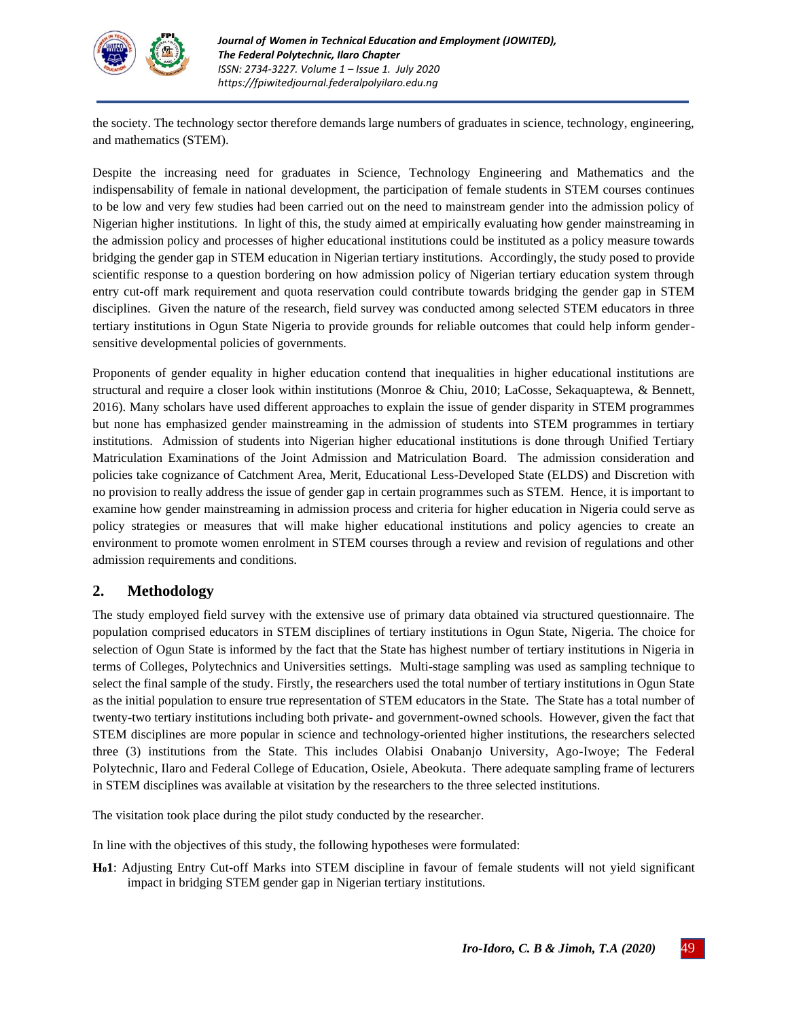

the society. The technology sector therefore demands large numbers of graduates in science, technology, engineering, and mathematics (STEM).

Despite the increasing need for graduates in Science, Technology Engineering and Mathematics and the indispensability of female in national development, the participation of female students in STEM courses continues to be low and very few studies had been carried out on the need to mainstream gender into the admission policy of Nigerian higher institutions. In light of this, the study aimed at empirically evaluating how gender mainstreaming in the admission policy and processes of higher educational institutions could be instituted as a policy measure towards bridging the gender gap in STEM education in Nigerian tertiary institutions. Accordingly, the study posed to provide scientific response to a question bordering on how admission policy of Nigerian tertiary education system through entry cut-off mark requirement and quota reservation could contribute towards bridging the gender gap in STEM disciplines. Given the nature of the research, field survey was conducted among selected STEM educators in three tertiary institutions in Ogun State Nigeria to provide grounds for reliable outcomes that could help inform gendersensitive developmental policies of governments.

Proponents of gender equality in higher education contend that inequalities in higher educational institutions are structural and require a closer look within institutions (Monroe & Chiu, 2010; LaCosse, Sekaquaptewa, & Bennett, 2016). Many scholars have used different approaches to explain the issue of gender disparity in STEM programmes but none has emphasized gender mainstreaming in the admission of students into STEM programmes in tertiary institutions. Admission of students into Nigerian higher educational institutions is done through Unified Tertiary Matriculation Examinations of the Joint Admission and Matriculation Board. The admission consideration and policies take cognizance of Catchment Area, Merit, Educational Less-Developed State (ELDS) and Discretion with no provision to really address the issue of gender gap in certain programmes such as STEM. Hence, it is important to examine how gender mainstreaming in admission process and criteria for higher education in Nigeria could serve as policy strategies or measures that will make higher educational institutions and policy agencies to create an environment to promote women enrolment in STEM courses through a review and revision of regulations and other admission requirements and conditions.

## **2. Methodology**

The study employed field survey with the extensive use of primary data obtained via structured questionnaire. The population comprised educators in STEM disciplines of tertiary institutions in Ogun State, Nigeria. The choice for selection of Ogun State is informed by the fact that the State has highest number of tertiary institutions in Nigeria in terms of Colleges, Polytechnics and Universities settings. Multi-stage sampling was used as sampling technique to select the final sample of the study. Firstly, the researchers used the total number of tertiary institutions in Ogun State as the initial population to ensure true representation of STEM educators in the State. The State has a total number of twenty-two tertiary institutions including both private- and government-owned schools. However, given the fact that STEM disciplines are more popular in science and technology-oriented higher institutions, the researchers selected three (3) institutions from the State. This includes Olabisi Onabanjo University, Ago-Iwoye; The Federal Polytechnic, Ilaro and Federal College of Education, Osiele, Abeokuta. There adequate sampling frame of lecturers in STEM disciplines was available at visitation by the researchers to the three selected institutions.

The visitation took place during the pilot study conducted by the researcher.

In line with the objectives of this study, the following hypotheses were formulated:

**H01**: Adjusting Entry Cut-off Marks into STEM discipline in favour of female students will not yield significant impact in bridging STEM gender gap in Nigerian tertiary institutions.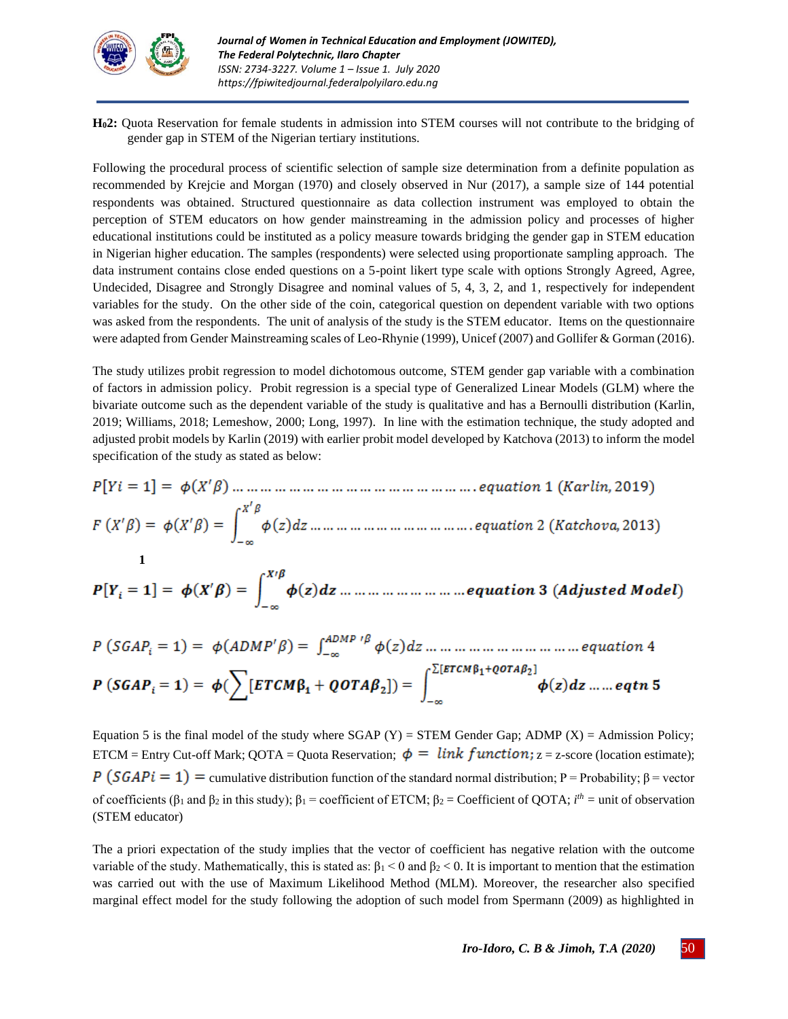

**H02:** Quota Reservation for female students in admission into STEM courses will not contribute to the bridging of gender gap in STEM of the Nigerian tertiary institutions.

Following the procedural process of scientific selection of sample size determination from a definite population as recommended by Krejcie and Morgan (1970) and closely observed in Nur (2017), a sample size of 144 potential respondents was obtained. Structured questionnaire as data collection instrument was employed to obtain the perception of STEM educators on how gender mainstreaming in the admission policy and processes of higher educational institutions could be instituted as a policy measure towards bridging the gender gap in STEM education in Nigerian higher education. The samples (respondents) were selected using proportionate sampling approach. The data instrument contains close ended questions on a 5-point likert type scale with options Strongly Agreed, Agree, Undecided, Disagree and Strongly Disagree and nominal values of 5, 4, 3, 2, and 1, respectively for independent variables for the study. On the other side of the coin, categorical question on dependent variable with two options was asked from the respondents. The unit of analysis of the study is the STEM educator. Items on the questionnaire were adapted from Gender Mainstreaming scales of Leo-Rhynie (1999), Unicef (2007) and Gollifer & Gorman (2016).

The study utilizes probit regression to model dichotomous outcome, STEM gender gap variable with a combination of factors in admission policy. Probit regression is a special type of Generalized Linear Models (GLM) where the bivariate outcome such as the dependent variable of the study is qualitative and has a Bernoulli distribution (Karlin, 2019; Williams, 2018; Lemeshow, 2000; Long, 1997). In line with the estimation technique, the study adopted and adjusted probit models by Karlin (2019) with earlier probit model developed by Katchova (2013) to inform the model specification of the study as stated as below:

**1**

Equation 5 is the final model of the study where  $SGAP$  (Y) =  $STEM$  Gender Gap; ADMP (X) = Admission Policy; ETCM = Entry Cut-off Mark; OOTA = Quota Reservation;  $\phi = link function$ ; z = z-score (location estimate);  $P(SGAPi = 1) =$  cumulative distribution function of the standard normal distribution; P = Probability;  $\beta$  = vector of coefficients ( $\beta_1$  and  $\beta_2$  in this study);  $\beta_1$  = coefficient of ETCM;  $\beta_2$  = Coefficient of QOTA; *i*<sup>th</sup> = unit of observation (STEM educator)

The a priori expectation of the study implies that the vector of coefficient has negative relation with the outcome variable of the study. Mathematically, this is stated as:  $\beta_1 < 0$  and  $\beta_2 < 0$ . It is important to mention that the estimation was carried out with the use of Maximum Likelihood Method (MLM). Moreover, the researcher also specified marginal effect model for the study following the adoption of such model from Spermann (2009) as highlighted in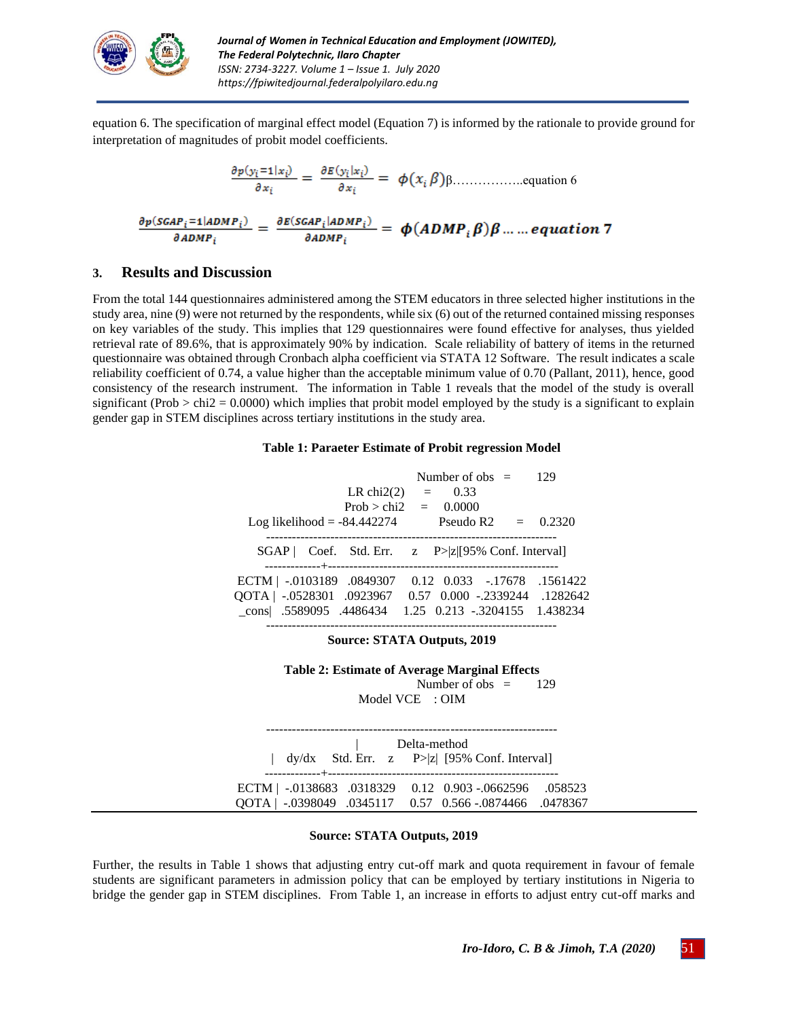

equation 6. The specification of marginal effect model (Equation 7) is informed by the rationale to provide ground for interpretation of magnitudes of probit model coefficients.

β……………..equation 6

### **3. Results and Discussion**

From the total 144 questionnaires administered among the STEM educators in three selected higher institutions in the study area, nine (9) were not returned by the respondents, while six (6) out of the returned contained missing responses on key variables of the study. This implies that 129 questionnaires were found effective for analyses, thus yielded retrieval rate of 89.6%, that is approximately 90% by indication. Scale reliability of battery of items in the returned questionnaire was obtained through Cronbach alpha coefficient via STATA 12 Software. The result indicates a scale reliability coefficient of 0.74, a value higher than the acceptable minimum value of 0.70 (Pallant, 2011), hence, good consistency of the research instrument. The information in Table 1 reveals that the model of the study is overall significant (Prob  $>$  chi2 = 0.0000) which implies that probit model employed by the study is a significant to explain gender gap in STEM disciplines across tertiary institutions in the study area.

#### **Table 1: Paraeter Estimate of Probit regression Model**

| Log likelihood $= -84.442274$                                                                                                                                      | LR chi2(2) = $0.33$<br>Prob > chi2 = $0.0000$ | Number of obs $=$ |  | 129<br><b>Pseudo R2</b> = $0.2320$ |
|--------------------------------------------------------------------------------------------------------------------------------------------------------------------|-----------------------------------------------|-------------------|--|------------------------------------|
| $SGAP$ Coef. Std. Err. $z \quad P >  z $ [95% Conf. Interval]                                                                                                      |                                               |                   |  |                                    |
| ECTM   -.0103189 .0849307<br>1282642.    ADS28301   0923967   0.57   0.000   -.2339244   .052842<br>cons   5589095   4486434   1.25   0.213   -.3204155   1.438234 |                                               |                   |  | 0.12 0.033 -.17678 .1561422        |

#### **Source: STATA Outputs, 2019**

**Table 2: Estimate of Average Marginal Effects** Number of obs  $=$  129 Model VCE : OIM

-------------------------------------------------------------------- | Delta-method | dy/dx Std. Err.  $z$  P>|z| [95% Conf. Interval] -------------+------------------------------------------------------ ECTM | -.0138683 .0318329 0.12 0.903 -.0662596 .058523 QOTA | -.0398049 .0345117 0.57 0.566 -.0874466 .0478367

#### **Source: STATA Outputs, 2019**

Further, the results in Table 1 shows that adjusting entry cut-off mark and quota requirement in favour of female students are significant parameters in admission policy that can be employed by tertiary institutions in Nigeria to bridge the gender gap in STEM disciplines. From Table 1, an increase in efforts to adjust entry cut-off marks and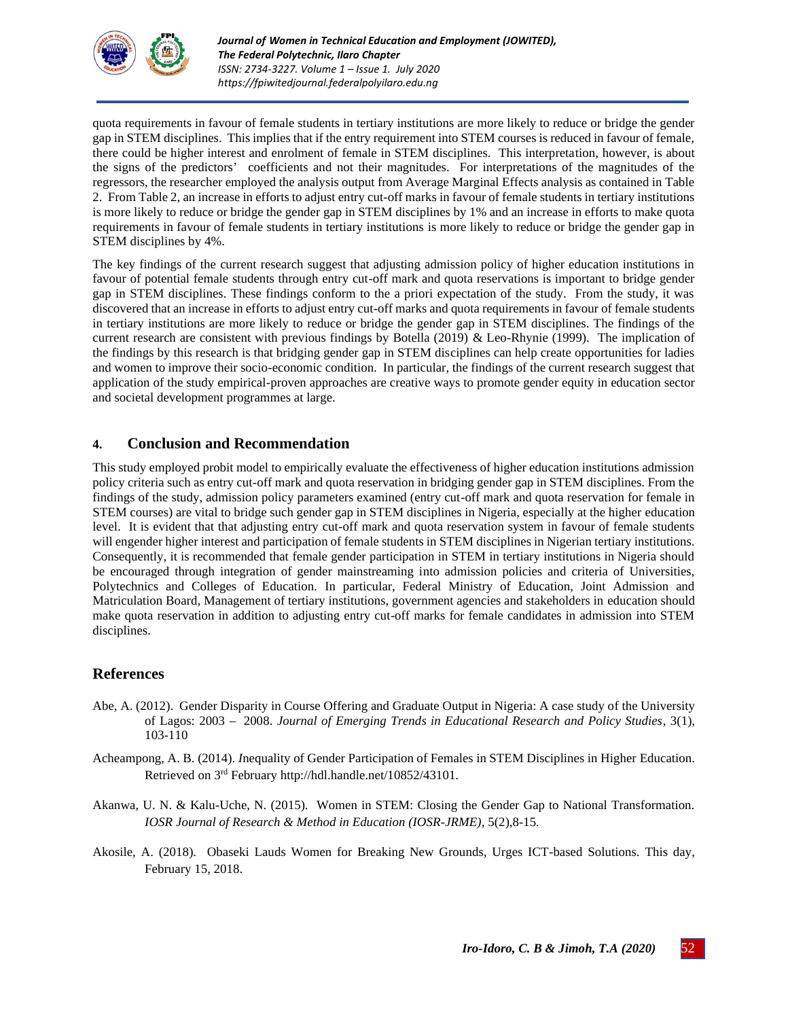

quota requirements in favour of female students in tertiary institutions are more likely to reduce or bridge the gender gap in STEM disciplines. This implies that if the entry requirement into STEM courses is reduced in favour of female, there could be higher interest and enrolment of female in STEM disciplines. This interpretation, however, is about the signs of the predictors' coefficients and not their magnitudes. For interpretations of the magnitudes of the regressors, the researcher employed the analysis output from Average Marginal Effects analysis as contained in Table 2. From Table 2, an increase in efforts to adjust entry cut-off marks in favour of female students in tertiary institutions is more likely to reduce or bridge the gender gap in STEM disciplines by 1% and an increase in efforts to make quota requirements in favour of female students in tertiary institutions is more likely to reduce or bridge the gender gap in STEM disciplines by 4%.

The key findings of the current research suggest that adjusting admission policy of higher education institutions in favour of potential female students through entry cut-off mark and quota reservations is important to bridge gender gap in STEM disciplines. These findings conform to the a priori expectation of the study. From the study, it was discovered that an increase in efforts to adjust entry cut-off marks and quota requirements in favour of female students in tertiary institutions are more likely to reduce or bridge the gender gap in STEM disciplines. The findings of the current research are consistent with previous findings by Botella (2019) & Leo-Rhynie (1999). The implication of the findings by this research is that bridging gender gap in STEM disciplines can help create opportunities for ladies and women to improve their socio-economic condition. In particular, the findings of the current research suggest that application of the study empirical-proven approaches are creative ways to promote gender equity in education sector and societal development programmes at large.

### **4. Conclusion and Recommendation**

This study employed probit model to empirically evaluate the effectiveness of higher education institutions admission policy criteria such as entry cut-off mark and quota reservation in bridging gender gap in STEM disciplines. From the findings of the study, admission policy parameters examined (entry cut-off mark and quota reservation for female in STEM courses) are vital to bridge such gender gap in STEM disciplines in Nigeria, especially at the higher education level. It is evident that that adjusting entry cut-off mark and quota reservation system in favour of female students will engender higher interest and participation of female students in STEM disciplines in Nigerian tertiary institutions. Consequently, it is recommended that female gender participation in STEM in tertiary institutions in Nigeria should be encouraged through integration of gender mainstreaming into admission policies and criteria of Universities, Polytechnics and Colleges of Education. In particular, Federal Ministry of Education, Joint Admission and Matriculation Board, Management of tertiary institutions, government agencies and stakeholders in education should make quota reservation in addition to adjusting entry cut-off marks for female candidates in admission into STEM disciplines.

## **References**

- Abe, A. (2012). Gender Disparity in Course Offering and Graduate Output in Nigeria: A case study of the University of Lagos: 2003 – 2008. *Journal of Emerging Trends in Educational Research and Policy Studies*, 3(1), 103-110
- Acheampong, A. B. (2014). *I*nequality of Gender Participation of Females in STEM Disciplines in Higher Education. Retrieved on 3rd February http://hdl.handle.net/10852/43101.
- Akanwa, U. N. & Kalu-Uche, N. (2015). Women in STEM: Closing the Gender Gap to National Transformation. *IOSR Journal of Research & Method in Education (IOSR-JRME),* 5(2),8-15*.*
- Akosile, A. (2018). Obaseki Lauds Women for Breaking New Grounds, Urges ICT-based Solutions. This day, February 15, 2018.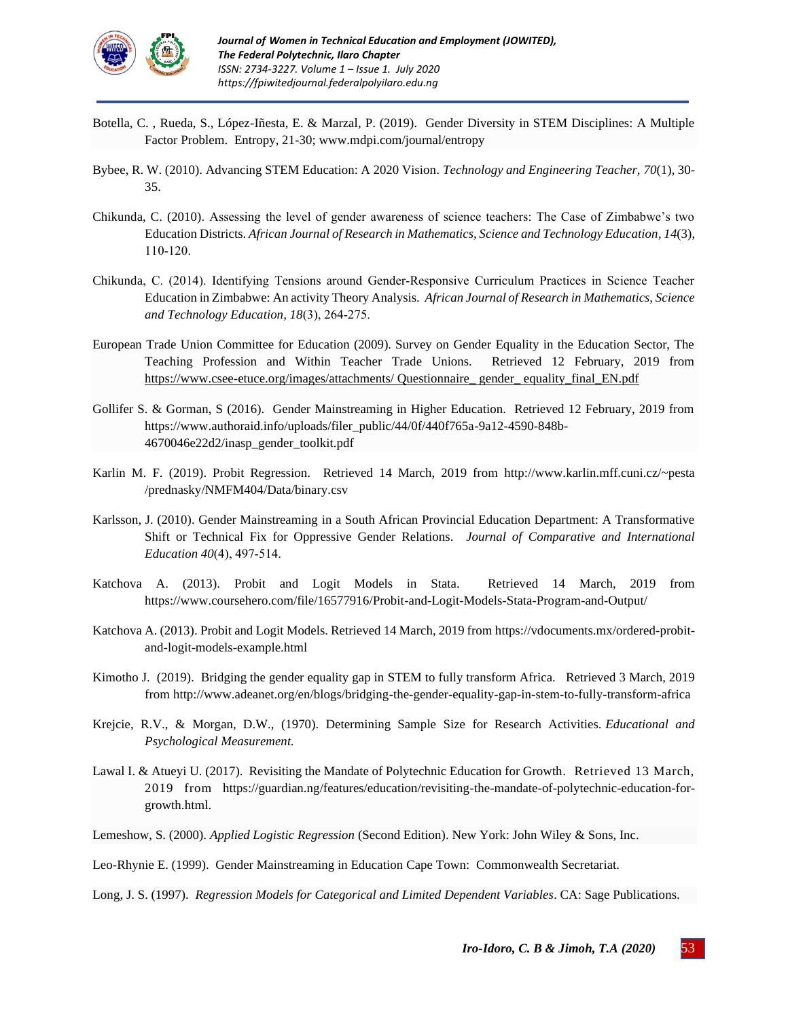

- Botella, C. , Rueda, S., López-Iñesta, E. & Marzal, P. (2019). Gender Diversity in STEM Disciplines: A Multiple Factor Problem. Entropy, 21-30; www.mdpi.com/journal/entropy
- Bybee, R. W. (2010). Advancing STEM Education: A 2020 Vision. *Technology and Engineering Teacher, 70*(1), 30- 35.
- Chikunda, C. (2010). Assessing the level of gender awareness of science teachers: The Case of Zimbabwe's two Education Districts. *African Journal of Research in Mathematics, Science and Technology Education*, *14*(3), 110‐120.
- Chikunda, C. (2014). Identifying Tensions around Gender‐Responsive Curriculum Practices in Science Teacher Education in Zimbabwe: An activity Theory Analysis. *African Journal of Research in Mathematics, Science and Technology Education, 18*(3), 264‐275.
- European Trade Union Committee for Education (2009). Survey on Gender Equality in the Education Sector, The Teaching Profession and Within Teacher Trade Unions. Retrieved 12 February, 2019 from [https://www.csee-etuce.org/images/attachments/ Questionnaire\\_ gender\\_ equality\\_final\\_EN.pdf](https://www.csee-etuce.org/images/attachments/%20Questionnaire_%20gender_%20equality_final_EN.pdf)
- Gollifer S. & Gorman, S (2016). Gender Mainstreaming in Higher Education. Retrieved 12 February, 2019 from [https://www.authoraid.info/uploads/filer\\_public/44/0f/440f765a-9a12-4590-848b-](https://www.authoraid.info/uploads/filer_public/44/0f/440f765a-9a12-4590-848b-4670046e22d2/inasp_gender_toolkit.pdf)[4670046e22d2/inasp\\_gender\\_toolkit.pdf](https://www.authoraid.info/uploads/filer_public/44/0f/440f765a-9a12-4590-848b-4670046e22d2/inasp_gender_toolkit.pdf)
- Karlin M. F. (2019). Probit Regression. Retrieved 14 March, 2019 from [http://www.karlin.mff.cuni.cz/~pesta](http://www.karlin.mff.cuni.cz/~pesta%20/prednasky/NMFM404/Data/binary.csv)  [/prednasky/NMFM404/Data/binary.csv](http://www.karlin.mff.cuni.cz/~pesta%20/prednasky/NMFM404/Data/binary.csv)
- Karlsson, J. (2010). Gender Mainstreaming in a South African Provincial Education Department: A Transformative Shift or Technical Fix for Oppressive Gender Relations. *Journal of Comparative and International Education 40*(4), 497‐514.
- Katchova A. (2013). Probit and Logit Models in Stata. Retrieved 14 March, 2019 from <https://www.coursehero.com/file/16577916/Probit-and-Logit-Models-Stata-Program-and-Output/>
- Katchova A. (2013). Probit and Logit Models. Retrieved 14 March, 2019 fro[m https://vdocuments.mx/ordered-probit](https://vdocuments.mx/ordered-probit-and-logit-models-example.html)[and-logit-models-example.html](https://vdocuments.mx/ordered-probit-and-logit-models-example.html)
- Kimotho J. (2019). Bridging the gender equality gap in STEM to fully transform Africa. Retrieved 3 March, 2019 fro[m http://www.adeanet.org/en/blogs/bridging-the-gender-equality-gap-in-stem-to-fully-transform-africa](http://www.adeanet.org/en/blogs/bridging-the-gender-equality-gap-in-stem-to-fully-transform-africa)
- Krejcie, R.V., & Morgan, D.W., (1970). Determining Sample Size for Research Activities. *Educational and Psychological Measurement.*
- Lawal I. & Atueyi U. (2017). Revisiting the Mandate of Polytechnic Education for Growth. Retrieved 13 March, 2019 from https://guardian.ng/features/education/revisiting-the-mandate-of-polytechnic-education-forgrowth.html.
- Lemeshow, S. (2000). *Applied Logistic Regression* (Second Edition). New York: John Wiley & Sons, Inc.
- Leo-Rhynie E. (1999). Gender Mainstreaming in Education Cape Town: Commonwealth Secretariat.

Long, J. S. (1997). *Regression Models for Categorical and Limited Dependent Variables*. CA: Sage Publications.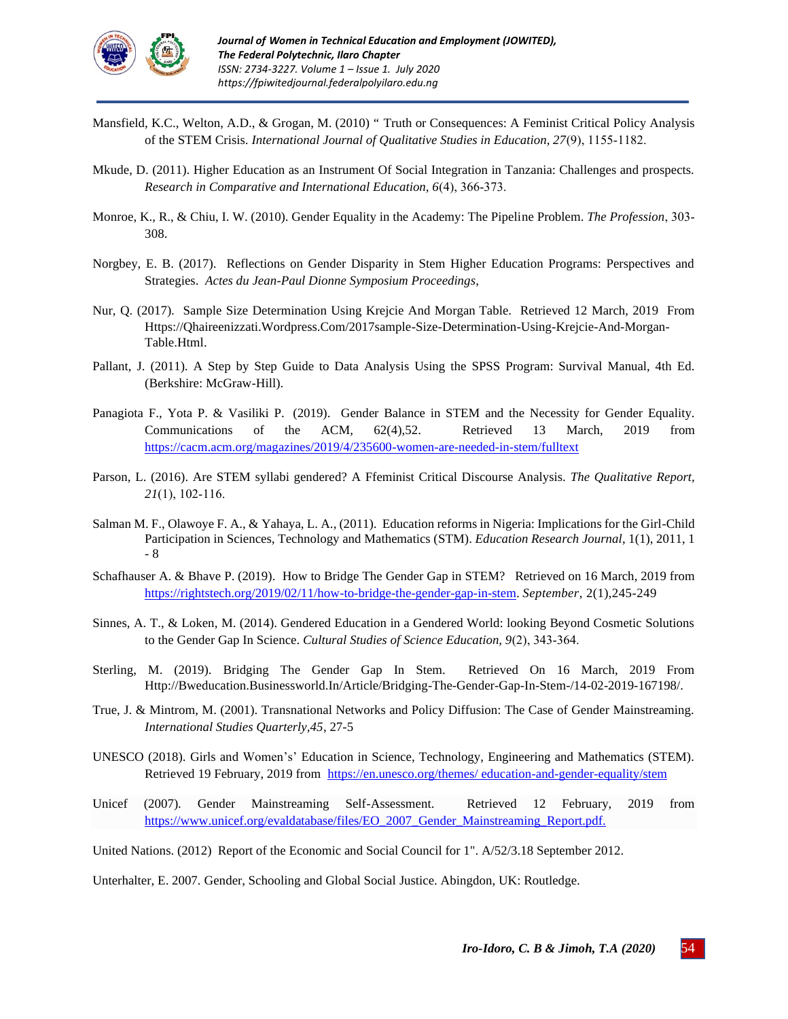

- Mansfield, K.C., Welton, A.D., & Grogan, M. (2010) " Truth or Consequences: A Feminist Critical Policy Analysis of the STEM Crisis. *International Journal of Qualitative Studies in Education, 27*(9), 1155‐1182.
- Mkude, D. (2011). Higher Education as an Instrument Of Social Integration in Tanzania: Challenges and prospects. *Research in Comparative and International Education, 6*(4), 366‐373.
- Monroe, K., R., & Chiu, I. W. (2010). Gender Equality in the Academy: The Pipeline Problem. *The Profession*, 303‐ 308.
- Norgbey, E. B. (2017). Reflections on Gender Disparity in Stem Higher Education Programs: Perspectives and Strategies. *[Actes du Jean-Paul Dionne Symposium Proceedings,](https://uottawa.scholarsportal.info/ottawa/index.php/sjpd-jpds/issue/view/287)*
- Nur, [Q.](https://qhaireenizzati.wordpress.com/author/qhaireenizzati/) (2017). Sample Size Determination Using Krejcie And Morgan Table. Retrieved 12 March, 2019 From [Https://Qhaireenizzati.Wordpress.Com/2017sample-Size-Determination-Using-Krejcie-And-Morgan-](https://qhaireenizzati.wordpress.com/2017sample-size-determination-using-krejcie-and-morgan-table.html)[Table.Html.](https://qhaireenizzati.wordpress.com/2017sample-size-determination-using-krejcie-and-morgan-table.html)
- Pallant, J. (2011). A Step by Step Guide to Data Analysis Using the SPSS Program: Survival Manual, 4th Ed. (Berkshire: McGraw-Hill).
- Panagiota F., Yota P. & Vasiliki P. (2019). Gender Balance in STEM and the Necessity for Gender Equality. Communications of the ACM, 62(4),52. Retrieved 13 March, 2019 from <https://cacm.acm.org/magazines/2019/4/235600-women-are-needed-in-stem/fulltext>
- Parson, L. (2016). Are STEM syllabi gendered? A Ffeminist Critical Discourse Analysis. *The Qualitative Report, 21*(1), 102‐116.
- Salman M. F., Olawoye F. A., & Yahaya, L. A., (2011). Education reforms in Nigeria: Implications for the Girl-Child Participation in Sciences, Technology and Mathematics (STM). *Education Research Journal*, 1(1), 2011, 1 - 8
- Schafhauser A. & Bhave P. (2019).How to Bridge The Gender Gap in STEM? Retrieved on 16 March, 2019 from [https://rightstech.org/2019/02/11/how-to-bridge-the-gender-gap-in-stem.](https://rightstech.org/2019/02/11/how-to-bridge-the-gender-gap-in-stem/) *September*, 2(1),245-249
- Sinnes, A. T., & Loken, M. (2014). Gendered Education in a Gendered World: looking Beyond Cosmetic Solutions to the Gender Gap In Science. *Cultural Studies of Science Education, 9*(2), 343‐364.
- [Sterling,](http://bweducation.businessworld.in/author/Guest-Author/Michelle-Sterling-86620) M. (2019). Bridging The Gender Gap In Stem. Retrieved On 16 March, 2019 From Http://Bweducation.Businessworld.In/Article/Bridging-The-Gender-Gap-In-Stem-/14-02-2019-167198/.
- True, J. & Mintrom, M. (2001). Transnational Networks and Policy Diffusion: The Case of Gender Mainstreaming. *International Studies Quarterly,45*, 27-5
- UNESCO (2018). Girls and Women's' Education in Science, Technology, Engineering and Mathematics (STEM). Retrieved 19 February, 2019 from [https://en.unesco.org/themes/ education-and-gender-equality/stem](https://en.unesco.org/themes/%20education-and-gender-equality/stem)
- Unicef (2007). Gender Mainstreaming Self-Assessment. Retrieved 12 February, 2019 from [https://www.unicef.org/evaldatabase/files/EO\\_2007\\_Gender\\_Mainstreaming\\_Report.pdf.](https://www.unicef.org/evaldatabase/files/EO_2007_Gender_Mainstreaming_Report.pdf)
- United Nations. (2012) Report of the Economic and Social Council for 1". A/52/3.18 September 2012.

Unterhalter, E. 2007. Gender, Schooling and Global Social Justice. Abingdon, UK: Routledge.